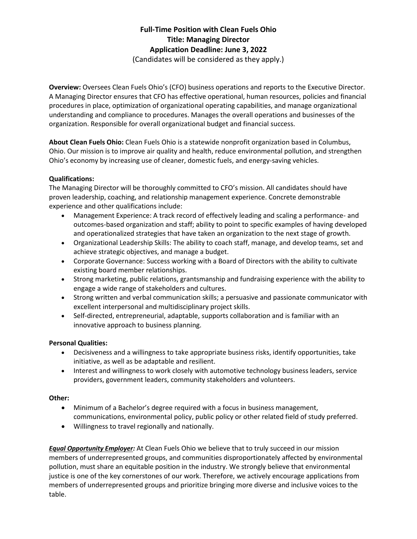# **Full-Time Position with Clean Fuels Ohio Title: Managing Director Application Deadline: June 3, 2022** (Candidates will be considered as they apply.)

**Overview:** Oversees Clean Fuels Ohio's (CFO) business operations and reports to the Executive Director. A Managing Director ensures that CFO has effective operational, human resources, policies and financial procedures in place, optimization of organizational operating capabilities, and manage organizational understanding and compliance to procedures. Manages the overall operations and businesses of the organization. Responsible for overall organizational budget and financial success.

**About Clean Fuels Ohio:** Clean Fuels Ohio is a statewide nonprofit organization based in Columbus, Ohio. Our mission is to improve air quality and health, reduce environmental pollution, and strengthen Ohio's economy by increasing use of cleaner, domestic fuels, and energy-saving vehicles.

## **Qualifications:**

The Managing Director will be thoroughly committed to CFO's mission. All candidates should have proven leadership, coaching, and relationship management experience. Concrete demonstrable experience and other qualifications include:

- Management Experience: A track record of effectively leading and scaling a performance- and outcomes-based organization and staff; ability to point to specific examples of having developed and operationalized strategies that have taken an organization to the next stage of growth.
- Organizational Leadership Skills: The ability to coach staff, manage, and develop teams, set and achieve strategic objectives, and manage a budget.
- Corporate Governance: Success working with a Board of Directors with the ability to cultivate existing board member relationships.
- Strong marketing, public relations, grantsmanship and fundraising experience with the ability to engage a wide range of stakeholders and cultures.
- Strong written and verbal communication skills; a persuasive and passionate communicator with excellent interpersonal and multidisciplinary project skills.
- Self-directed, entrepreneurial, adaptable, supports collaboration and is familiar with an innovative approach to business planning.

## **Personal Qualities:**

- Decisiveness and a willingness to take appropriate business risks, identify opportunities, take initiative, as well as be adaptable and resilient.
- Interest and willingness to work closely with automotive technology business leaders, service providers, government leaders, community stakeholders and volunteers.

## **Other:**

- Minimum of a Bachelor's degree required with a focus in business management, communications, environmental policy, public policy or other related field of study preferred.
- Willingness to travel regionally and nationally.

*Equal Opportunity Employer:* At Clean Fuels Ohio we believe that to truly succeed in our mission members of underrepresented groups, and communities disproportionately affected by environmental pollution, must share an equitable position in the industry. We strongly believe that environmental justice is one of the key cornerstones of our work. Therefore, we actively encourage applications from members of underrepresented groups and prioritize bringing more diverse and inclusive voices to the table.